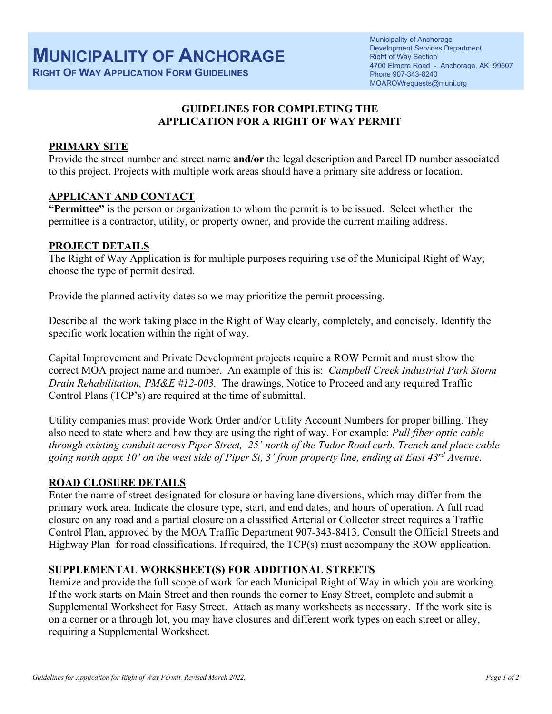**RIGHT OF WAY APPLICATION FORM GUIDELINES**

# **GUIDELINES FOR COMPLETING THE APPLICATION FOR A RIGHT OF WAY PERMIT**

### **PRIMARY SITE**

Provide the street number and street name **and/or** the legal description and Parcel ID number associated to this project. Projects with multiple work areas should have a primary site address or location.

### **APPLICANT AND CONTACT**

**"Permittee"** is the person or organization to whom the permit is to be issued. Select whether the permittee is a contractor, utility, or property owner, and provide the current mailing address.

### **PROJECT DETAILS**

The Right of Way Application is for multiple purposes requiring use of the Municipal Right of Way; choose the type of permit desired.

Provide the planned activity dates so we may prioritize the permit processing.

Describe all the work taking place in the Right of Way clearly, completely, and concisely. Identify the specific work location within the right of way.

Capital Improvement and Private Development projects require a ROW Permit and must show the correct MOA project name and number. An example of this is: *Campbell Creek Industrial Park Storm Drain Rehabilitation, PM&E #12-003.* The drawings, Notice to Proceed and any required Traffic Control Plans (TCP's) are required at the time of submittal.

Utility companies must provide Work Order and/or Utility Account Numbers for proper billing. They also need to state where and how they are using the right of way. For example: *Pull fiber optic cable through existing conduit across Piper Street, 25' north of the Tudor Road curb. Trench and place cable* going north appx 10' on the west side of Piper St,  $3'$  from property line, ending at East  $43^{rd}$  Avenue.

### **ROAD CLOSURE DETAILS**

Enter the name of street designated for closure or having lane diversions, which may differ from the primary work area. Indicate the closure type, start, and end dates, and hours of operation. A full road closure on any road and a partial closure on a classified Arterial or Collector street requires a Traffic Control Plan, approved by the MOA Traffic Department 907-343-8413. Consult the Official Streets and Highway Plan for road classifications. If required, the TCP(s) must accompany the ROW application.

# **SUPPLEMENTAL WORKSHEET(S) FOR ADDITIONAL STREETS**

Itemize and provide the full scope of work for each Municipal Right of Way in which you are working. If the work starts on Main Street and then rounds the corner to Easy Street, complete and submit a Supplemental Worksheet for Easy Street. Attach as many worksheets as necessary. If the work site is on a corner or a through lot, you may have closures and different work types on each street or alley, requiring a Supplemental Worksheet.